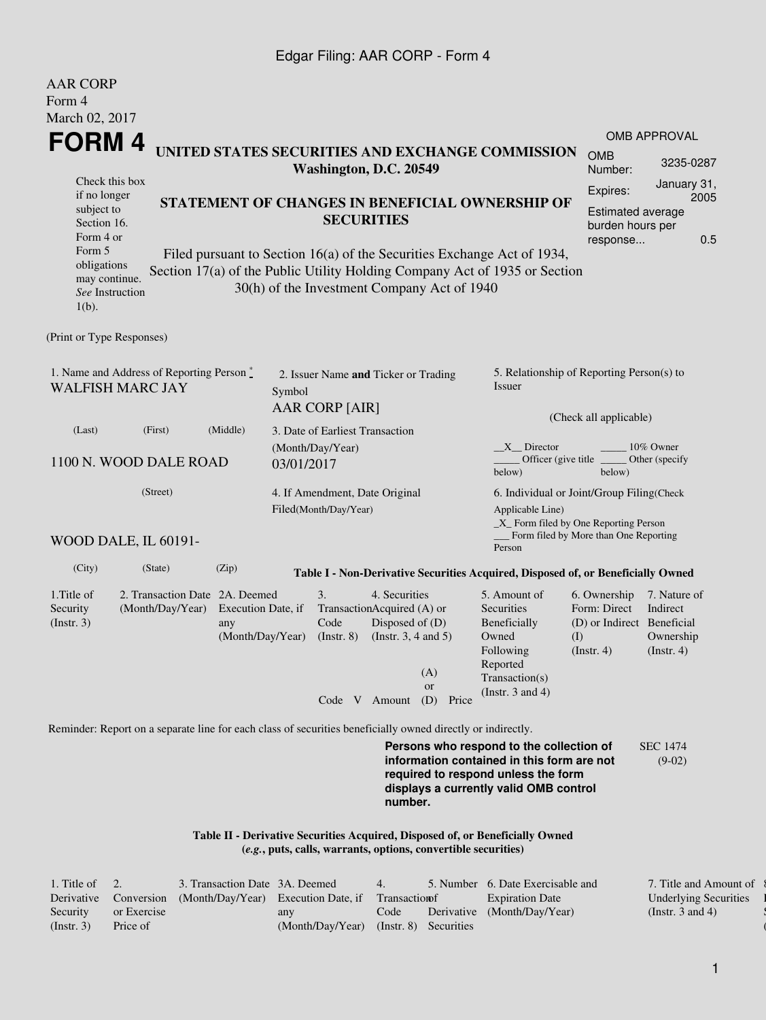## Edgar Filing: AAR CORP - Form 4

| <b>AAR CORP</b><br>Form 4                                                    |                                                                                                             |                                               |                                                         |                                                 |                                                                                            |                                                                                                                                                  |                                                                                                                                                                         |                                                                                       |                                                           |  |
|------------------------------------------------------------------------------|-------------------------------------------------------------------------------------------------------------|-----------------------------------------------|---------------------------------------------------------|-------------------------------------------------|--------------------------------------------------------------------------------------------|--------------------------------------------------------------------------------------------------------------------------------------------------|-------------------------------------------------------------------------------------------------------------------------------------------------------------------------|---------------------------------------------------------------------------------------|-----------------------------------------------------------|--|
| March 02, 2017                                                               |                                                                                                             |                                               |                                                         |                                                 |                                                                                            |                                                                                                                                                  |                                                                                                                                                                         |                                                                                       |                                                           |  |
| FORM 4                                                                       |                                                                                                             |                                               |                                                         |                                                 |                                                                                            |                                                                                                                                                  |                                                                                                                                                                         |                                                                                       | <b>OMB APPROVAL</b>                                       |  |
|                                                                              |                                                                                                             |                                               |                                                         | Washington, D.C. 20549                          |                                                                                            |                                                                                                                                                  | UNITED STATES SECURITIES AND EXCHANGE COMMISSION                                                                                                                        | <b>OMB</b><br>Number:                                                                 | 3235-0287                                                 |  |
| Check this box<br>if no longer<br>subject to<br>Section 16.<br>Form 4 or     |                                                                                                             |                                               |                                                         | STATEMENT OF CHANGES IN BENEFICIAL OWNERSHIP OF | Expires:<br>Estimated average<br>burden hours per<br>response                              | January 31,<br>2005                                                                                                                              | 0.5                                                                                                                                                                     |                                                                                       |                                                           |  |
| Form 5<br>obligations<br>may continue.<br>See Instruction<br>$1(b)$ .        |                                                                                                             |                                               |                                                         |                                                 |                                                                                            | 30(h) of the Investment Company Act of 1940                                                                                                      | Filed pursuant to Section 16(a) of the Securities Exchange Act of 1934,<br>Section 17(a) of the Public Utility Holding Company Act of 1935 or Section                   |                                                                                       |                                                           |  |
| (Print or Type Responses)                                                    |                                                                                                             |                                               |                                                         |                                                 |                                                                                            |                                                                                                                                                  |                                                                                                                                                                         |                                                                                       |                                                           |  |
| 1. Name and Address of Reporting Person $\degree$<br><b>WALFISH MARC JAY</b> |                                                                                                             | Symbol                                        | 2. Issuer Name and Ticker or Trading<br>AAR CORP [AIR]  |                                                 |                                                                                            | 5. Relationship of Reporting Person(s) to<br>Issuer<br>(Check all applicable)                                                                    |                                                                                                                                                                         |                                                                                       |                                                           |  |
| (Last)                                                                       | (First)                                                                                                     | (Middle)                                      |                                                         | 3. Date of Earliest Transaction                 |                                                                                            |                                                                                                                                                  |                                                                                                                                                                         |                                                                                       |                                                           |  |
| 1100 N. WOOD DALE ROAD                                                       |                                                                                                             | 03/01/2017                                    | (Month/Day/Year)                                        |                                                 |                                                                                            | 10% Owner<br>$X$ Director<br>Officer (give title $\overline{\phantom{a}}$<br>Other (specify<br>below)<br>below)                                  |                                                                                                                                                                         |                                                                                       |                                                           |  |
|                                                                              |                                                                                                             |                                               | 4. If Amendment, Date Original<br>Filed(Month/Day/Year) |                                                 |                                                                                            | 6. Individual or Joint/Group Filing(Check<br>Applicable Line)<br>_X_ Form filed by One Reporting Person<br>Form filed by More than One Reporting |                                                                                                                                                                         |                                                                                       |                                                           |  |
|                                                                              | WOOD DALE, IL 60191-                                                                                        |                                               |                                                         |                                                 |                                                                                            |                                                                                                                                                  | Person                                                                                                                                                                  |                                                                                       |                                                           |  |
| (City)                                                                       | (State)                                                                                                     | (Zip)                                         |                                                         |                                                 |                                                                                            |                                                                                                                                                  | Table I - Non-Derivative Securities Acquired, Disposed of, or Beneficially Owned                                                                                        |                                                                                       |                                                           |  |
| 1. Title of<br>Security<br>$($ Instr. 3 $)$                                  | 2. Transaction Date 2A. Deemed<br>(Month/Day/Year)                                                          | Execution Date, if<br>any<br>(Month/Day/Year) |                                                         | 3.<br>Code<br>$($ Instr. $8)$                   | 4. Securities<br>TransactionAcquired (A) or<br>Disposed of (D)<br>(Instr. $3, 4$ and $5$ ) | (A)<br><sub>or</sub>                                                                                                                             | 5. Amount of<br>Securities<br>Beneficially<br>Owned<br>Following<br>Reported<br>Transaction(s)<br>(Instr. $3$ and $4$ )                                                 | 6. Ownership<br>Form: Direct<br>(D) or Indirect Beneficial<br>(I)<br>$($ Instr. 4 $)$ | 7. Nature of<br>Indirect<br>Ownership<br>$($ Instr. 4 $)$ |  |
|                                                                              |                                                                                                             |                                               |                                                         |                                                 |                                                                                            | Code V Amount (D) Price                                                                                                                          |                                                                                                                                                                         |                                                                                       |                                                           |  |
|                                                                              | Reminder: Report on a separate line for each class of securities beneficially owned directly or indirectly. |                                               |                                                         |                                                 |                                                                                            |                                                                                                                                                  |                                                                                                                                                                         |                                                                                       |                                                           |  |
|                                                                              |                                                                                                             |                                               |                                                         |                                                 | number.                                                                                    |                                                                                                                                                  | Persons who respond to the collection of<br>information contained in this form are not<br>required to respond unless the form<br>displays a currently valid OMB control |                                                                                       | <b>SEC 1474</b><br>$(9-02)$                               |  |
|                                                                              |                                                                                                             |                                               |                                                         |                                                 |                                                                                            | (e.g., puts, calls, warrants, options, convertible securities)                                                                                   | Table II - Derivative Securities Acquired, Disposed of, or Beneficially Owned                                                                                           |                                                                                       |                                                           |  |

| 1. Title of $\quad 2.$ |                   | 3. Transaction Date 3A. Deemed                     |                  | 4.   |                       | 5. Number 6. Date Exercisable and | 7. Title and Amount of |
|------------------------|-------------------|----------------------------------------------------|------------------|------|-----------------------|-----------------------------------|------------------------|
| Derivative             | <b>Conversion</b> | (Month/Day/Year) Execution Date, if Transaction of |                  |      |                       | <b>Expiration Date</b>            | Underlying Securities  |
| Security               | or Exercise       |                                                    | any              | Code |                       | Derivative (Month/Day/Year)       | (Instr. 3 and 4)       |
| (Instr. 3)             | Price of          |                                                    | (Month/Day/Year) |      | (Instr. 8) Securities |                                   |                        |

 $\{$ l Security  $($